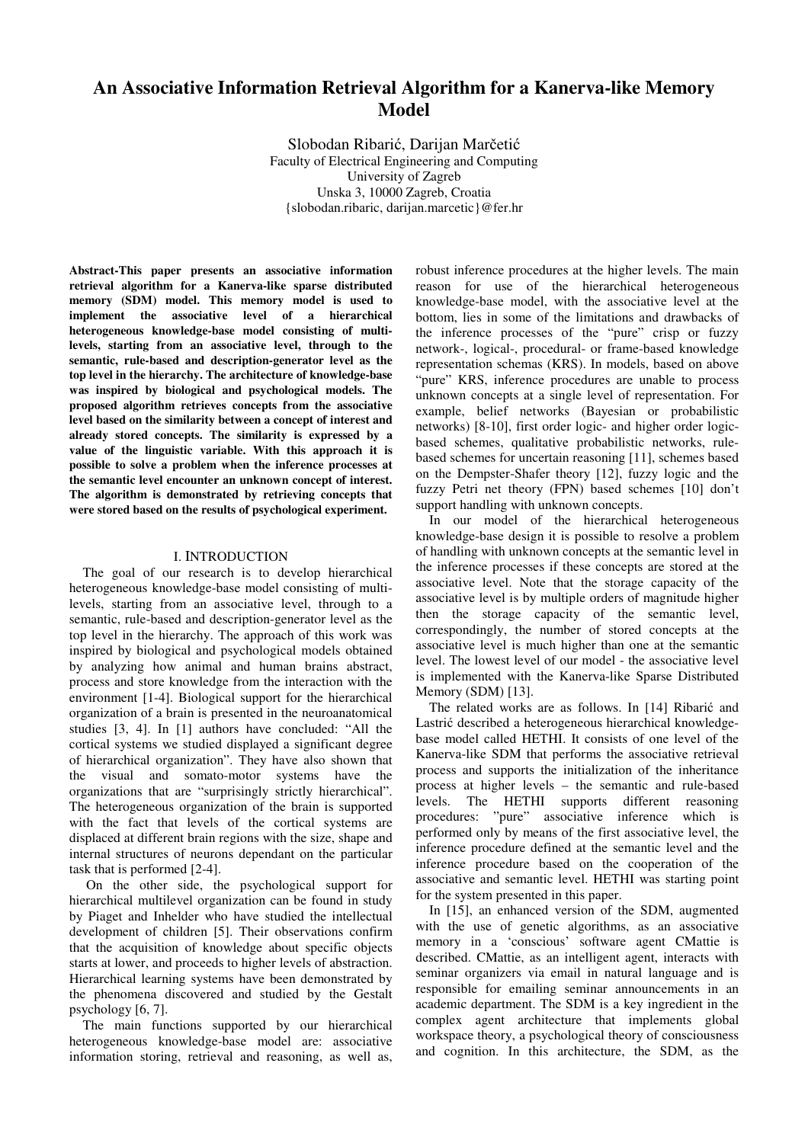# **An Associative Information Retrieval Algorithm for a Kanerva-like Memory Model**

Slobodan Ribarić, Darijan Marčetić Faculty of Electrical Engineering and Computing University of Zagreb Unska 3, 10000 Zagreb, Croatia {slobodan.ribaric, darijan.marcetic}@fer.hr

**Abstract-This paper presents an associative information retrieval algorithm for a Kanerva-like sparse distributed memory (SDM) model. This memory model is used to implement the associative level of a hierarchical heterogeneous knowledge-base model consisting of multilevels, starting from an associative level, through to the semantic, rule-based and description-generator level as the top level in the hierarchy. The architecture of knowledge-base was inspired by biological and psychological models. The proposed algorithm retrieves concepts from the associative level based on the similarity between a concept of interest and already stored concepts. The similarity is expressed by a value of the linguistic variable. With this approach it is possible to solve a problem when the inference processes at the semantic level encounter an unknown concept of interest. The algorithm is demonstrated by retrieving concepts that were stored based on the results of psychological experiment.** 

#### I. INTRODUCTION

The goal of our research is to develop hierarchical heterogeneous knowledge-base model consisting of multilevels, starting from an associative level, through to a semantic, rule-based and description-generator level as the top level in the hierarchy. The approach of this work was inspired by biological and psychological models obtained by analyzing how animal and human brains abstract, process and store knowledge from the interaction with the environment [1-4]. Biological support for the hierarchical organization of a brain is presented in the neuroanatomical studies [3, 4]. In [1] authors have concluded: "All the cortical systems we studied displayed a significant degree of hierarchical organization". They have also shown that the visual and somato-motor systems have the organizations that are "surprisingly strictly hierarchical". The heterogeneous organization of the brain is supported with the fact that levels of the cortical systems are displaced at different brain regions with the size, shape and internal structures of neurons dependant on the particular task that is performed [2-4].

 On the other side, the psychological support for hierarchical multilevel organization can be found in study by Piaget and Inhelder who have studied the intellectual development of children [5]. Their observations confirm that the acquisition of knowledge about specific objects starts at lower, and proceeds to higher levels of abstraction. Hierarchical learning systems have been demonstrated by the phenomena discovered and studied by the Gestalt psychology [6, 7].

The main functions supported by our hierarchical heterogeneous knowledge-base model are: associative information storing, retrieval and reasoning, as well as, robust inference procedures at the higher levels. The main reason for use of the hierarchical heterogeneous knowledge-base model, with the associative level at the bottom, lies in some of the limitations and drawbacks of the inference processes of the "pure" crisp or fuzzy network-, logical-, procedural- or frame-based knowledge representation schemas (KRS). In models, based on above "pure" KRS, inference procedures are unable to process unknown concepts at a single level of representation. For example, belief networks (Bayesian or probabilistic networks) [8-10], first order logic- and higher order logicbased schemes, qualitative probabilistic networks, rulebased schemes for uncertain reasoning [11], schemes based on the Dempster-Shafer theory [12], fuzzy logic and the fuzzy Petri net theory (FPN) based schemes [10] don't support handling with unknown concepts.

In our model of the hierarchical heterogeneous knowledge-base design it is possible to resolve a problem of handling with unknown concepts at the semantic level in the inference processes if these concepts are stored at the associative level. Note that the storage capacity of the associative level is by multiple orders of magnitude higher then the storage capacity of the semantic level, correspondingly, the number of stored concepts at the associative level is much higher than one at the semantic level. The lowest level of our model - the associative level is implemented with the Kanerva-like Sparse Distributed Memory (SDM) [13].

The related works are as follows. In [14] Ribarić and Lastrić described a heterogeneous hierarchical knowledgebase model called HETHI. It consists of one level of the Kanerva-like SDM that performs the associative retrieval process and supports the initialization of the inheritance process at higher levels – the semantic and rule-based levels. The HETHI supports different reasoning procedures: "pure" associative inference which is performed only by means of the first associative level, the inference procedure defined at the semantic level and the inference procedure based on the cooperation of the associative and semantic level. HETHI was starting point for the system presented in this paper.

In [15], an enhanced version of the SDM, augmented with the use of genetic algorithms, as an associative memory in a 'conscious' software agent CMattie is described. CMattie, as an intelligent agent, interacts with seminar organizers via email in natural language and is responsible for emailing seminar announcements in an academic department. The SDM is a key ingredient in the complex agent architecture that implements global workspace theory, a psychological theory of consciousness and cognition. In this architecture, the SDM, as the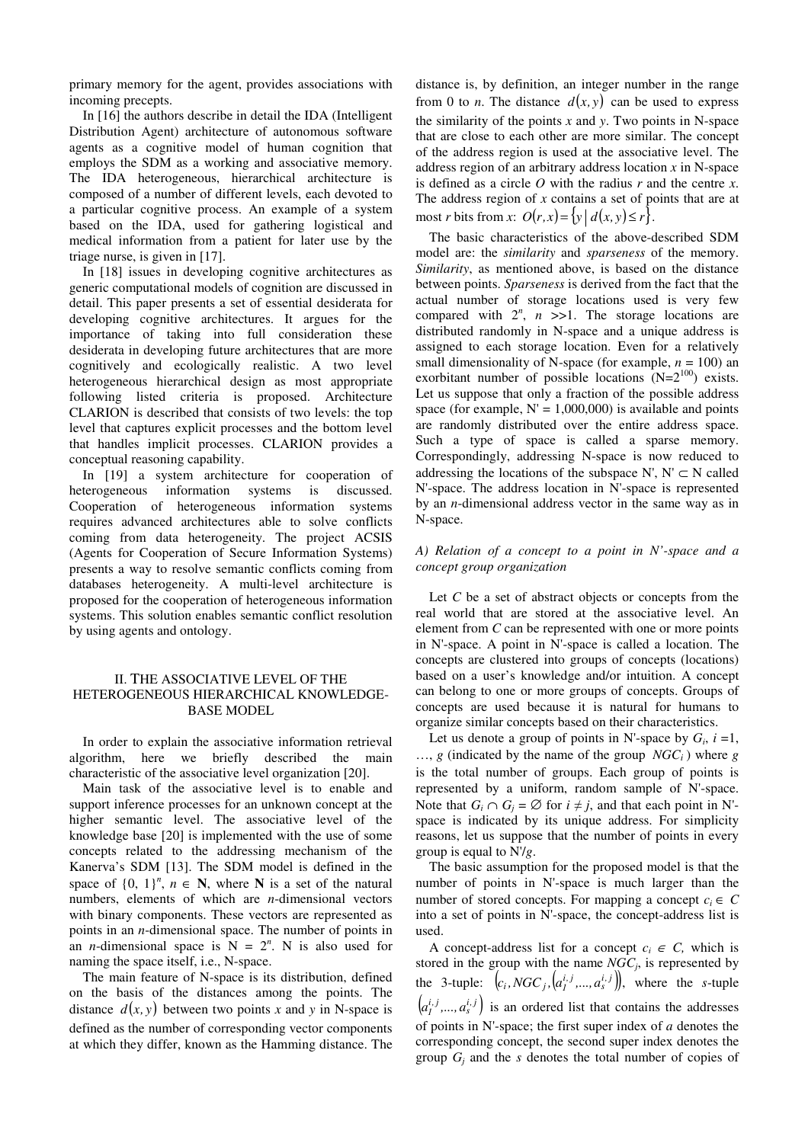primary memory for the agent, provides associations with incoming precepts.

In [16] the authors describe in detail the IDA (Intelligent Distribution Agent) architecture of autonomous software agents as a cognitive model of human cognition that employs the SDM as a working and associative memory. The IDA heterogeneous, hierarchical architecture is composed of a number of different levels, each devoted to a particular cognitive process. An example of a system based on the IDA, used for gathering logistical and medical information from a patient for later use by the triage nurse, is given in [17].

In [18] issues in developing cognitive architectures as generic computational models of cognition are discussed in detail. This paper presents a set of essential desiderata for developing cognitive architectures. It argues for the importance of taking into full consideration these desiderata in developing future architectures that are more cognitively and ecologically realistic. A two level heterogeneous hierarchical design as most appropriate following listed criteria is proposed. Architecture CLARION is described that consists of two levels: the top level that captures explicit processes and the bottom level that handles implicit processes. CLARION provides a conceptual reasoning capability.

In [19] a system architecture for cooperation of heterogeneous information systems is discussed. Cooperation of heterogeneous information systems requires advanced architectures able to solve conflicts coming from data heterogeneity. The project ACSIS (Agents for Cooperation of Secure Information Systems) presents a way to resolve semantic conflicts coming from databases heterogeneity. A multi-level architecture is proposed for the cooperation of heterogeneous information systems. This solution enables semantic conflict resolution by using agents and ontology.

# II. THE ASSOCIATIVE LEVEL OF THE HETEROGENEOUS HIERARCHICAL KNOWLEDGE-BASE MODEL

In order to explain the associative information retrieval algorithm, here we briefly described the main characteristic of the associative level organization [20].

Main task of the associative level is to enable and support inference processes for an unknown concept at the higher semantic level. The associative level of the knowledge base [20] is implemented with the use of some concepts related to the addressing mechanism of the Kanerva's SDM [13]. The SDM model is defined in the space of  $\{0, 1\}^n$ ,  $n \in \mathbb{N}$ , where N is a set of the natural numbers, elements of which are *n*-dimensional vectors with binary components. These vectors are represented as points in an *n*-dimensional space. The number of points in an *n*-dimensional space is  $N = 2^n$ . N is also used for naming the space itself, i.e., N-space.

The main feature of N-space is its distribution, defined on the basis of the distances among the points. The distance  $d(x, y)$  between two points x and y in N-space is defined as the number of corresponding vector components at which they differ, known as the Hamming distance. The distance is, by definition, an integer number in the range from 0 to *n*. The distance  $d(x, y)$  can be used to express the similarity of the points *x* and *y*. Two points in N-space that are close to each other are more similar. The concept of the address region is used at the associative level. The address region of an arbitrary address location *x* in N-space is defined as a circle *O* with the radius *r* and the centre *x*. The address region of *x* contains a set of points that are at most *r* bits from *x*:  $O(r, x) = \{y \mid d(x, y) \le r\}.$ 

The basic characteristics of the above-described SDM model are: the *similarity* and *sparseness* of the memory. *Similarity*, as mentioned above, is based on the distance between points. *Sparseness* is derived from the fact that the actual number of storage locations used is very few compared with  $2^n$ ,  $n \ge 1$ . The storage locations are distributed randomly in N-space and a unique address is assigned to each storage location. Even for a relatively small dimensionality of N-space (for example,  $n = 100$ ) an exorbitant number of possible locations  $(N=2^{100})$  exists. Let us suppose that only a fraction of the possible address space (for example,  $N' = 1,000,000$ ) is available and points are randomly distributed over the entire address space. Such a type of space is called a sparse memory. Correspondingly, addressing N-space is now reduced to addressing the locations of the subspace N', N'  $\subset$  N called N'-space. The address location in N'-space is represented by an *n*-dimensional address vector in the same way as in N-space.

#### *A) Relation of a concept to a point in N'-space and a concept group organization*

Let *C* be a set of abstract objects or concepts from the real world that are stored at the associative level. An element from *C* can be represented with one or more points in N'-space. A point in N'-space is called a location. The concepts are clustered into groups of concepts (locations) based on a user's knowledge and/or intuition. A concept can belong to one or more groups of concepts. Groups of concepts are used because it is natural for humans to organize similar concepts based on their characteristics.

Let us denote a group of points in N'-space by  $G_i$ ,  $i = 1$ ,  $..., g$  (indicated by the name of the group *NGC<sub>i</sub>*) where *g* is the total number of groups. Each group of points is represented by a uniform, random sample of N'-space. Note that  $G_i \cap G_j = \emptyset$  for  $i \neq j$ , and that each point in N'space is indicated by its unique address. For simplicity reasons, let us suppose that the number of points in every group is equal to N'/*g*.

The basic assumption for the proposed model is that the number of points in N'-space is much larger than the number of stored concepts. For mapping a concept  $c_i \in C$ into a set of points in N'-space, the concept-address list is used.

A concept-address list for a concept  $c_i \in C$ , which is stored in the group with the name *NGC<sup>j</sup>* , is represented by the 3-tuple:  $(c_i, NGC_j, [a_i^{i,j},...,a_s^{i,j}])$ , where the *s*-tuple  $(a_i^{i,j},..., a_s^{i,j})$  is an ordered list that contains the addresses of points in N'-space; the first super index of *a* denotes the corresponding concept, the second super index denotes the group  $G_j$  and the *s* denotes the total number of copies of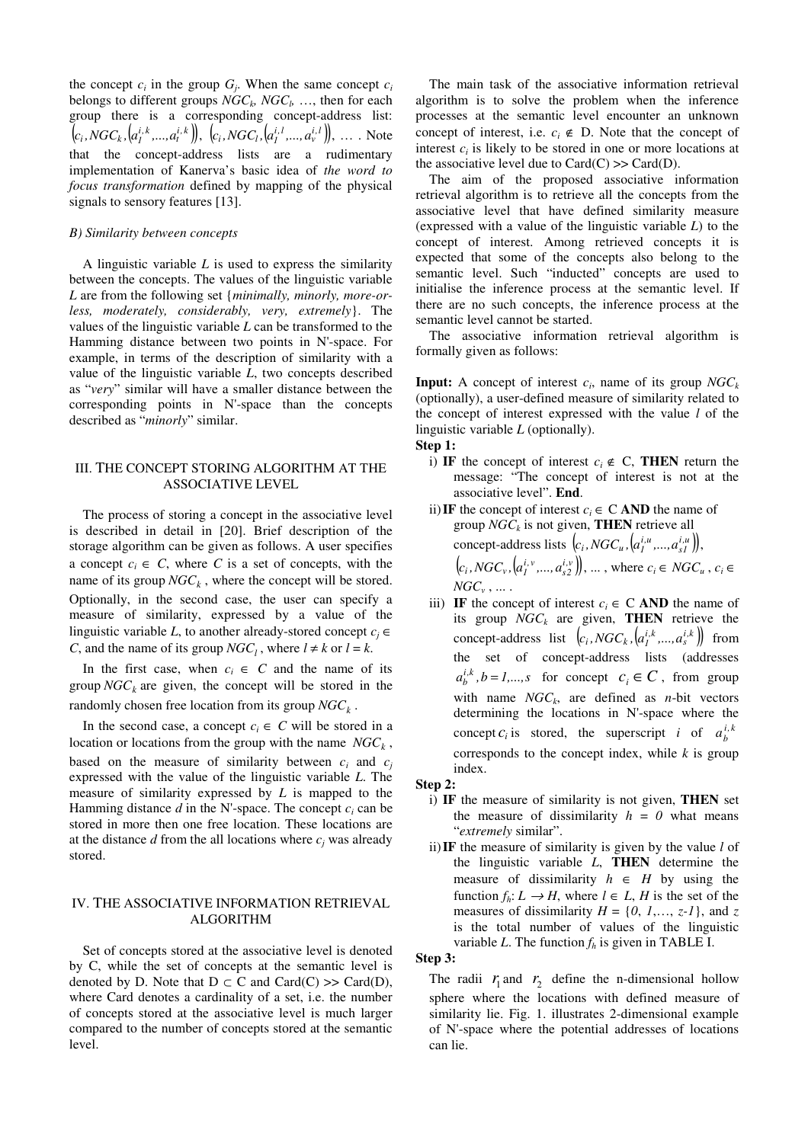the concept  $c_i$  in the group  $G_j$ . When the same concept  $c_i$ belongs to different groups  $NGC_k$ ,  $NGC_l$ , ..., then for each group there is a corresponding concept-address list:  $(c_i, NGC_k, [a_1^{i,k},...,a_t^{i,k}]), (c_i, NGC_l, [a_1^{i,l},...,a_v^{i,l}]), ...$  Note that the concept-address lists are a rudimentary implementation of Kanerva's basic idea of *the word to focus transformation* defined by mapping of the physical signals to sensory features [13].

#### *B) Similarity between concepts*

A linguistic variable *L* is used to express the similarity between the concepts. The values of the linguistic variable *L* are from the following set {*minimally, minorly, more-orless, moderately, considerably, very, extremely*}. The values of the linguistic variable *L* can be transformed to the Hamming distance between two points in N'-space. For example, in terms of the description of similarity with a value of the linguistic variable *L*, two concepts described as "*very*" similar will have a smaller distance between the corresponding points in N'-space than the concepts described as "*minorly*" similar.

# III. THE CONCEPT STORING ALGORITHM AT THE ASSOCIATIVE LEVEL

The process of storing a concept in the associative level is described in detail in [20]. Brief description of the storage algorithm can be given as follows. A user specifies a concept  $c_i \in C$ , where C is a set of concepts, with the name of its group  $NGC_k$ , where the concept will be stored. Optionally, in the second case, the user can specify a measure of similarity, expressed by a value of the linguistic variable *L*, to another already-stored concept  $c_i \in$ *C*, and the name of its group  $NGC_l$ , where  $l \neq k$  or  $l = k$ .

In the first case, when  $c_i \in C$  and the name of its group  $NGC<sub>k</sub>$  are given, the concept will be stored in the randomly chosen free location from its group *NGC<sup>k</sup>* .

In the second case, a concept  $c_i \in C$  will be stored in a location or locations from the group with the name *NGC<sup>k</sup>* , based on the measure of similarity between  $c_i$  and  $c_j$ expressed with the value of the linguistic variable *L*. The measure of similarity expressed by *L* is mapped to the Hamming distance  $d$  in the N'-space. The concept  $c_i$  can be stored in more then one free location. These locations are at the distance  $d$  from the all locations where  $c_j$  was already stored.

# IV. THE ASSOCIATIVE INFORMATION RETRIEVAL ALGORITHM

Set of concepts stored at the associative level is denoted by C, while the set of concepts at the semantic level is denoted by D. Note that  $D \subset C$  and  $Card(C) \gg Card(D)$ , where Card denotes a cardinality of a set, i.e. the number of concepts stored at the associative level is much larger compared to the number of concepts stored at the semantic level.

The main task of the associative information retrieval algorithm is to solve the problem when the inference processes at the semantic level encounter an unknown concept of interest, i.e.  $c_i \notin D$ . Note that the concept of interest  $c_i$  is likely to be stored in one or more locations at the associative level due to  $Card(C) \gg Card(D)$ .

The aim of the proposed associative information retrieval algorithm is to retrieve all the concepts from the associative level that have defined similarity measure (expressed with a value of the linguistic variable *L*) to the concept of interest. Among retrieved concepts it is expected that some of the concepts also belong to the semantic level. Such "inducted" concepts are used to initialise the inference process at the semantic level. If there are no such concepts, the inference process at the semantic level cannot be started.

The associative information retrieval algorithm is formally given as follows:

**Input:** A concept of interest *c<sup>i</sup>* , name of its group *NGC<sup>k</sup>* (optionally), a user-defined measure of similarity related to the concept of interest expressed with the value *l* of the linguistic variable *L* (optionally).

# **Step 1:**

- i) IF the concept of interest  $c_i \notin C$ , THEN return the message: "The concept of interest is not at the associative level". **End**.
- ii) IF the concept of interest  $c_i \in C$  AND the name of group *NGC<sup>k</sup>* is not given, **THEN** retrieve all concept-address lists  $(c_i, NGC_u, [a_i^{i,u},..., a_{s1}^{i,u}]),$  $(c_i, NGC_v, (a_1^{i,v}, ..., a_{s2}^{i,v})), \dots$ , where  $c_i \in NGC_u$ ,  $c_i \in$  $NGC_v$  ,  $...$  .
- iii) **IF** the concept of interest  $c_i \in \mathbb{C}$  **AND** the name of its group *NGC<sup>k</sup>* are given, **THEN** retrieve the concept-address list  $(c_i, NGC_k, [a_i^{i,k},..., a_s^{i,k}])$  from the set of concept-address lists (addresses  $a_i^{i,k}$ ,  $b = 1,...,s$  for concept  $c_i \in \mathbb{C}$ , from group with name  $NGC_k$ , are defined as *n*-bit vectors determining the locations in N'-space where the concept  $c_i$  is stored, the superscript *i* of  $a_b^{i,k}$ corresponds to the concept index, while  $k$  is group index.

#### **Step 2:**

- i) **IF** the measure of similarity is not given, **THEN** set the measure of dissimilarity  $h = 0$  what means "*extremely* similar".
- ii)**IF** the measure of similarity is given by the value *l* of the linguistic variable *L*, **THEN** determine the measure of dissimilarity  $h \in H$  by using the function  $f_h: L \to H$ , where  $l \in L$ , *H* is the set of the measures of dissimilarity  $H = \{0, 1, \ldots, z-1\}$ , and  $z$ is the total number of values of the linguistic variable *L*. The function  $f_h$  is given in TABLE I.

# **Step 3:**

The radii  $r_1$  and  $r_2$  define the n-dimensional hollow sphere where the locations with defined measure of similarity lie. Fig. 1. illustrates 2-dimensional example of N'-space where the potential addresses of locations can lie.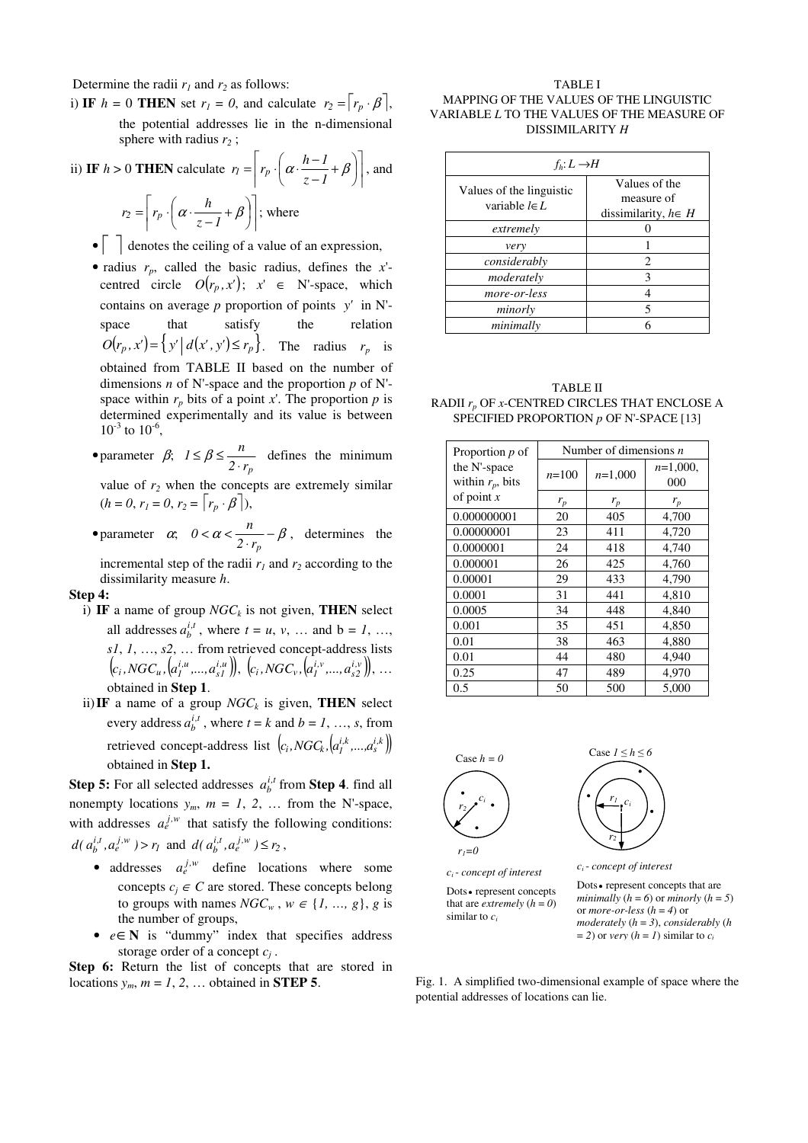Determine the radii  $r_1$  and  $r_2$  as follows:

i) **IF**  $h = 0$  **THEN** set  $r_1 = 0$ , and calculate  $r_2 = \begin{bmatrix} r_p \cdot \beta \end{bmatrix}$ , the potential addresses lie in the n-dimensional sphere with radius *r2* ;

ii) **IF** 
$$
h > 0
$$
 **THEN** calculate  $r_1 = \left[ r_p \cdot \left( \alpha \cdot \frac{h-1}{z-1} + \beta \right) \right]$ , and  

$$
r_2 = \left[ r_p \cdot \left( \alpha \cdot \frac{h}{z-1} + \beta \right) \right]; \text{ where}
$$

- $\bullet$   $\vert$  denotes the ceiling of a value of an expression,
- radius  $r_p$ , called the basic radius, defines the *x*'centred circle  $O(r_p, x')$ ;  $x' \in N'$ -space, which contains on average  $p$  proportion of points  $y'$  in N'space that satisfy the relation  $O(r_p, x') = \left\{ y' \mid d(x', y') \le r_p \right\}$ . The radius  $r_p$  is obtained from TABLE II based on the number of dimensions *n* of N'-space and the proportion *p* of N' space within  $r_p$  bits of a point x'. The proportion  $p$  is determined experimentally and its value is between  $10^{-3}$  to  $10^{-6}$ ,
- parameter  $\beta$ ;  $l \leq \beta \leq \frac{n}{2 \cdot r_p}$  $1 \leq \beta \leq \frac{n}{2 \cdot r_p}$  defines the minimum

value of  $r_2$  when the concepts are extremely similar  $(h = 0, r_1 = 0, r_2 = [r_p \cdot \beta]),$ 

• parameter  $\alpha$ ;  $0 < \alpha < \frac{n}{2 \cdot r_p} - \beta$  $0 < \alpha < \frac{n}{2} - \beta$ , determines the incremental step of the radii  $r_1$  and  $r_2$  according to the

dissimilarity measure *h*.

#### **Step 4:**

- i) **IF** a name of group *NGC<sup>k</sup>* is not given, **THEN** select all addresses  $a_b^{i,t}$ , where  $t = u, v, ...$  and  $b = 1, ...,$ *s1*, *1*, …, *s2*, … from retrieved concept-address lists  $(c_i, NGC_u, [a_1^{i,u},...,a_{s1}^{i,u}]), (c_i, NGC_v, [a_1^{i,v},...,a_{s2}^{i,v}]), ...$ obtained in **Step 1**.
- ii) IF a name of a group  $NGC_k$  is given, THEN select every address  $a_b^{i,t}$ , where  $t = k$  and  $b = 1, ..., s$ , from retrieved concept-address list  $(c_i, NGC_k, [a_i<sup>i,k</sup>,..., a_s<sup>i,k</sup>])$ obtained in **Step 1.**

**Step 5:** For all selected addresses  $a_b^{i,t}$  from **Step 4**. find all nonempty locations  $y_m$ ,  $m = 1, 2, \ldots$  from the N'-space, with addresses  $a_e^{j,w}$  that satisfy the following conditions:  $d(a_b^{i,t}, a_e^{j,w}) > r_1$  and  $d(a_b^{i,t}, a_e^{j,w}) \le r_2$ ,

- addresses  $a_e^{j,w}$  define locations where some concepts  $c_i \in C$  are stored. These concepts belong to groups with names  $NGC_w$ ,  $w \in \{1, ..., g\}$ , *g* is the number of groups,
- *e*∈**N** is "dummy" index that specifies address storage order of a concept *c<sup>j</sup>* .

**Step 6:** Return the list of concepts that are stored in locations  $y_m$ ,  $m = 1, 2, ...$  obtained in **STEP 5**.

TABLE I MAPPING OF THE VALUES OF THE LINGUISTIC VARIABLE *L* TO THE VALUES OF THE MEASURE OF DISSIMILARITY *H*

| $f_h: L \rightarrow H$                         |                                                         |  |  |
|------------------------------------------------|---------------------------------------------------------|--|--|
| Values of the linguistic<br>variable $l \in L$ | Values of the<br>measure of<br>dissimilarity, $h \in H$ |  |  |
| extremely                                      |                                                         |  |  |
| very                                           |                                                         |  |  |
| considerably                                   | $\mathfrak{D}_{\mathfrak{p}}$                           |  |  |
| moderately                                     | 3                                                       |  |  |
| more-or-less                                   |                                                         |  |  |
| minorly                                        | 5                                                       |  |  |
| minimally                                      |                                                         |  |  |

| TABLE II                                           |
|----------------------------------------------------|
| RADII $r_p$ OF $x$ -CENTRED CIRCLES THAT ENCLOSE A |
| SPECIFIED PROPORTION $p$ OF N'-SPACE [13]          |

| Proportion $p$ of                   | Number of dimensions $n$ |           |                    |
|-------------------------------------|--------------------------|-----------|--------------------|
| the N'-space<br>within $r_p$ , bits | $n=100$                  | $n=1,000$ | $n=1,000$ ,<br>000 |
| of point $x$                        | $r_p$                    | $r_p$     | $r_p$              |
| 0.000000001                         | 20                       | 405       | 4,700              |
| 0.00000001                          | 23                       | 411       | 4,720              |
| 0.0000001                           | 24                       | 418       | 4,740              |
| 0.000001                            | 26                       | 425       | 4,760              |
| 0.00001                             | 29                       | 433       | 4,790              |
| 0.0001                              | 31                       | 441       | 4,810              |
| 0.0005                              | 34                       | 448       | 4,840              |
| 0.001                               | 35                       | 451       | 4,850              |
| 0.01                                | 38                       | 463       | 4,880              |
| 0.01                                | 44                       | 480       | 4,940              |
| 0.25                                | 47                       | 489       | 4,970              |
| 0.5                                 | 50                       | 500       | 5,000              |



Dots• represent concepts that are *extremely*  $(h = 0)$ 

similar to *c<sup>i</sup>*



Dots • represent concepts that are *minimally*  $(h = 6)$  or *minorly*  $(h = 5)$ or *more-or-less*  $(h = 4)$  or *moderately* (*h* = *3*), *considerably* (*h*  $=$  *2*) or *very* ( $h = 1$ ) similar to  $c_i$ 

Fig. 1. A simplified two-dimensional example of space where the potential addresses of locations can lie.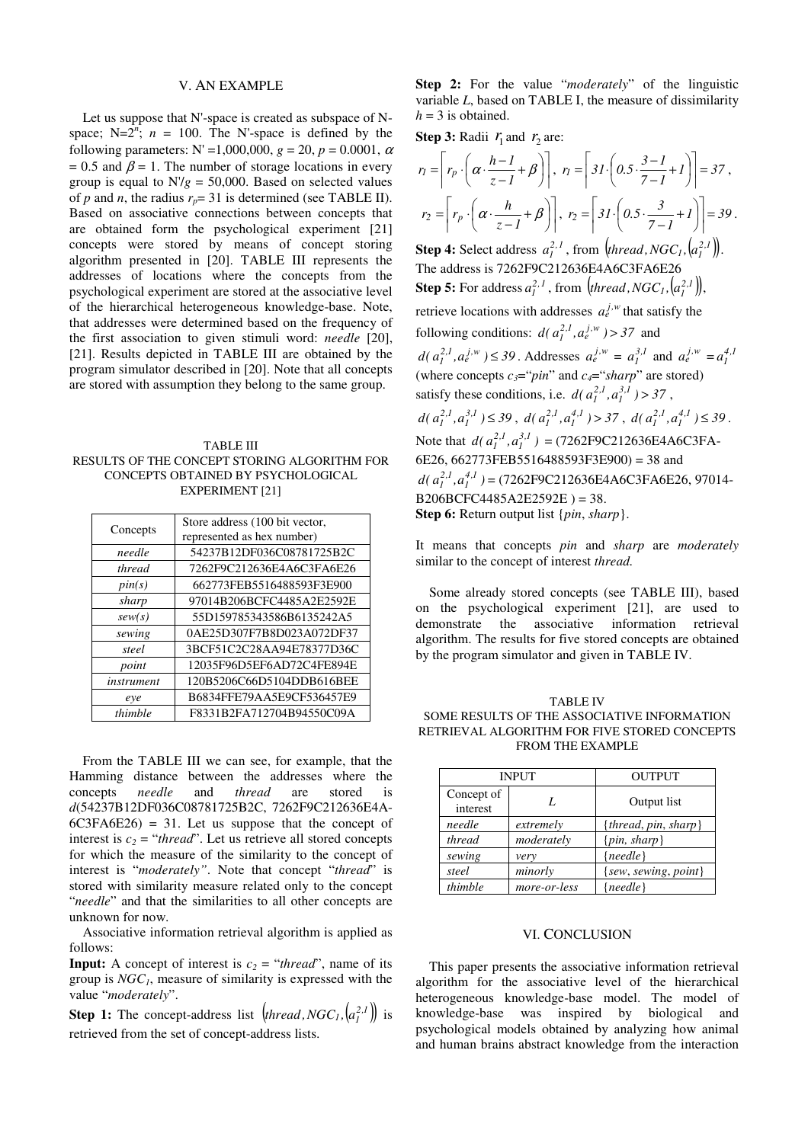# V. AN EXAMPLE

Let us suppose that N'-space is created as subspace of Nspace;  $N=2^n$ ;  $n = 100$ . The N'-space is defined by the following parameters:  $N' = 1,000,000$ ,  $g = 20$ ,  $p = 0.0001$ ,  $\alpha$ = 0.5 and  $\beta$  = 1. The number of storage locations in every group is equal to  $N/g = 50,000$ . Based on selected values of *p* and *n*, the radius  $r_p = 31$  is determined (see TABLE II). Based on associative connections between concepts that are obtained form the psychological experiment [21] concepts were stored by means of concept storing algorithm presented in [20]. TABLE III represents the addresses of locations where the concepts from the psychological experiment are stored at the associative level of the hierarchical heterogeneous knowledge-base. Note, that addresses were determined based on the frequency of the first association to given stimuli word: *needle* [20], [21]. Results depicted in TABLE III are obtained by the program simulator described in [20]. Note that all concepts are stored with assumption they belong to the same group.

TABLE III RESULTS OF THE CONCEPT STORING ALGORITHM FOR CONCEPTS OBTAINED BY PSYCHOLOGICAL EXPERIMENT [21]

| Concepts   | Store address (100 bit vector, |  |  |
|------------|--------------------------------|--|--|
|            | represented as hex number)     |  |  |
| needle     | 54237B12DF036C08781725B2C      |  |  |
| thread     | 7262F9C212636E4A6C3FA6E26      |  |  |
| pin(s)     | 662773FEB5516488593F3E900      |  |  |
| sharp      | 97014B206BCFC4485A2E2592E      |  |  |
| sew(s)     | 55D159785343586B6135242A5      |  |  |
| sewing     | 0AE25D307F7B8D023A072DF37      |  |  |
| steel      | 3BCF51C2C28AA94E78377D36C      |  |  |
| point      | 12035F96D5EF6AD72C4FE894E      |  |  |
| instrument | 120B5206C66D5104DDB616BEE      |  |  |
| eye        | B6834FFE79AA5E9CF536457E9      |  |  |
| thimble    | F8331B2FA712704B94550C09A      |  |  |

From the TABLE III we can see, for example, that the Hamming distance between the addresses where the concepts *needle* and *thread* are stored is *d*(54237B12DF036C08781725B2C, 7262F9C212636E4A- $6C3FA6E26$  = 31. Let us suppose that the concept of interest is  $c_2 =$  "*thread*". Let us retrieve all stored concepts for which the measure of the similarity to the concept of interest is "*moderately"*. Note that concept "*thread*" is stored with similarity measure related only to the concept "*needle*" and that the similarities to all other concepts are unknown for now.

Associative information retrieval algorithm is applied as follows:

**Input:** A concept of interest is  $c_2 =$  "*thread*", name of its group is *NGC1*, measure of similarity is expressed with the value "*moderately*".

**Step 1:** The concept-address list  $\left($ *thread*, *NGC*<sub>*I*</sub>,  $\left(a_i^{2,1}\right)$  is retrieved from the set of concept-address lists.

**Step 2:** For the value "*moderately*" of the linguistic variable *L*, based on TABLE I, the measure of dissimilarity  $h = 3$  is obtained.

**Step 3:** Radii  $r_1$  and  $r_2$  are:

$$
r_{1} = \left[ r_{p} \cdot \left( \alpha \cdot \frac{h - l}{z - l} + \beta \right) \right], r_{1} = \left[ 3I \cdot \left( 0.5 \cdot \frac{3 - l}{7 - l} + I \right) \right] = 37,
$$
  
\n
$$
r_{2} = \left[ r_{p} \cdot \left( \alpha \cdot \frac{h}{z - l} + \beta \right) \right], r_{2} = \left[ 3I \cdot \left( 0.5 \cdot \frac{3}{7 - l} + I \right) \right] = 39.
$$
  
\n**Step 4:** Select address  $a_{i}^{2, l}$ , from (thread, NGC<sub>1</sub>,  $\left( a_{i}^{2, l} \right)$ ).  
\nThe address is 7262F9C212636E4AGC3F46E26  
\n**Step 5:** For address  $a_{i}^{2, l}$ , from (thread, NGC<sub>1</sub>,  $\left( a_{i}^{2, l} \right)$ ),  
\nmetricive locations with addresses  $a_{e}^{j,w}$  that satisfy the  
\nfollowing conditions:  $d(a_{i}^{2, l}, a_{e}^{j,w}) > 37$  and  
\n $d(a_{i}^{2, l}, a_{e}^{j,w}) \le 39$ . Addresses  $a_{e}^{j,w} = a_{i}^{3, l}$  and  $a_{e}^{j,w} = a_{i}^{4, l}$   
\n(where concepts  $c_{3} = \text{`pin"}$  and  $c_{4} = \text{`sharp}$  are stored)  
\nsatisfy these conditions, i.e.  $d(a_{i}^{2, l}, a_{i}^{3, l}) > 37$ ,  
\n $d(a_{i}^{2, l}, a_{i}^{3, l}) \le 39$ ,  $d(a_{i}^{2, l}, a_{i}^{4, l}) > 37$ ,  $d(a_{i}^{2, l}, a_{i}^{4, l}) \le 39$ .  
\nNote that  $d(a_{i}^{2, l}, a_{i}^{3, l}) = (7262F9C212636E4AGC3FA-6E26, 662773FEB5516488593F3E900) = 38$  and  
\n $d(a_{i}^{2, l}, a_{i}^{4, l}) = (7262F9C2$ 

It means that concepts *pin* and *sharp* are *moderately*  similar to the concept of interest *thread.* 

Some already stored concepts (see TABLE III), based on the psychological experiment [21], are used to demonstrate the associative information retrieval algorithm. The results for five stored concepts are obtained by the program simulator and given in TABLE IV.

TABLE IV SOME RESULTS OF THE ASSOCIATIVE INFORMATION RETRIEVAL ALGORITHM FOR FIVE STORED CONCEPTS FROM THE EXAMPLE

| <b>INPUT</b>           |              | <b>OUTPUT</b>            |
|------------------------|--------------|--------------------------|
| Concept of<br>interest | L            | Output list              |
| needle                 | extremely    | ${theread, pin, sharp}$  |
| thread                 | moderately   | $\{pin, sharp\}$         |
| sewing                 | very         | ${needle}$               |
| steel                  | minorly      | $\{sew, sewing, point\}$ |
| thimble                | more-or-less | ${needle}$               |

#### VI. CONCLUSION

This paper presents the associative information retrieval algorithm for the associative level of the hierarchical heterogeneous knowledge-base model. The model of knowledge-base was inspired by biological and psychological models obtained by analyzing how animal and human brains abstract knowledge from the interaction